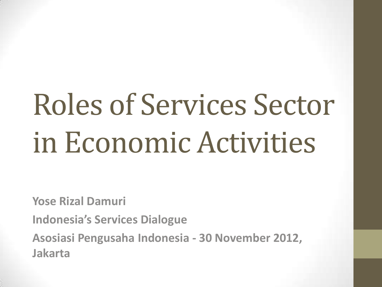# Roles of Services Sector in Economic Activities

**Yose Rizal Damuri**

**Indonesia's Services Dialogue**

**Asosiasi Pengusaha Indonesia - 30 November 2012, Jakarta**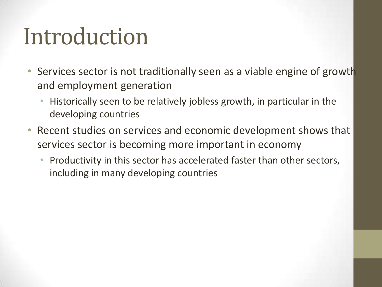#### Introduction

- Services sector is not traditionally seen as a viable engine of growth and employment generation
	- Historically seen to be relatively jobless growth, in particular in the developing countries
- Recent studies on services and economic development shows that services sector is becoming more important in economy
	- Productivity in this sector has accelerated faster than other sectors, including in many developing countries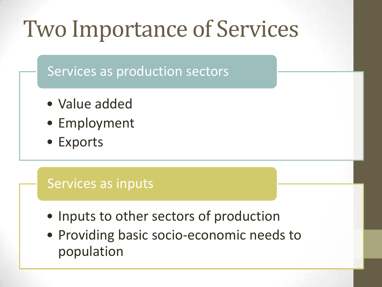#### Two Importance of Services

Services as production sectors

- Value added
- Employment
- Exports

#### Services as inputs

- Inputs to other sectors of production
- Providing basic socio-economic needs to population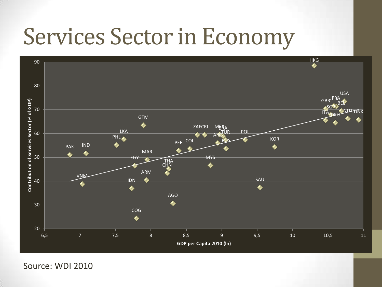#### Services Sector in Economy



Source: WDI 2010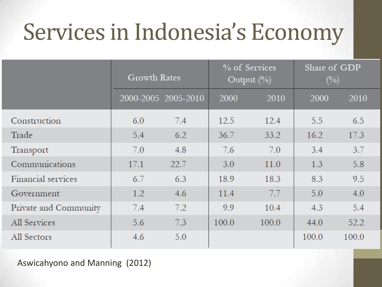### Services in Indonesia's Economy

|                       | <b>Growth Rates</b> |                     | % of Services<br>Output $(\% )$ |       | Share of GDP<br>$\left(\frac{0}{0}\right)$ |       |
|-----------------------|---------------------|---------------------|---------------------------------|-------|--------------------------------------------|-------|
|                       |                     | 2000-2005 2005-2010 | 2000                            | 2010  | 2000                                       | 2010  |
| Construction          | 6.0                 | 7.4                 | 12.5                            | 12.4  | 5.5                                        | 6.5   |
| Trade                 | 5.4                 | 6.2                 | 36.7                            | 33.2  | 16.2                                       | 17.3  |
| Transport             | 7.0                 | 4.8                 | 7.6                             | 7.0   | 3.4                                        | 3.7   |
| Communications        | 17.1                | 22.7                | 3.0                             | 11.0  | 1.3                                        | 5.8   |
| Financial services    | 6.7                 | 6.3                 | 18.9                            | 18.3  | 8.3                                        | 9.5   |
| Government            | 1.2                 | 4.6                 | 11.4                            | 7.7   | 5.0                                        | 4.0   |
| Private and Community | 7.4                 | 7.2                 | 9.9                             | 10.4  | 4.3                                        | 5.4   |
| All Services          | 5.6                 | 7.3                 | 100.0                           | 100.0 | 44.0                                       | 52.2  |
| All Sectors           | 4.6                 | 5.0                 |                                 |       | 100.0                                      | 100.0 |

Aswicahyono and Manning (2012)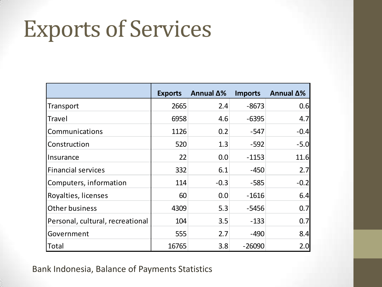#### Exports of Services

|                                  | <b>Exports</b> | Annual $\Delta\%$ | <b>Imports</b> | Annual $\Delta\%$ |
|----------------------------------|----------------|-------------------|----------------|-------------------|
| Transport                        | 2665           | 2.4               | $-8673$        | 0.6               |
| <b>Travel</b>                    | 6958           | 4.6               | $-6395$        | 4.7               |
| Communications                   | 1126           | 0.2               | $-547$         | $-0.4$            |
| Construction                     | 520            | 1.3               | $-592$         | $-5.0$            |
| Insurance                        | 22             | 0.0               | $-1153$        | 11.6              |
| <b>Financial services</b>        | 332            | 6.1               | $-450$         | 2.7               |
| Computers, information           | 114            | $-0.3$            | $-585$         | $-0.2$            |
| Royalties, licenses              | 60             | 0.0               | $-1616$        | 6.4               |
| <b>Other business</b>            | 4309           | 5.3               | $-5456$        | 0.7               |
| Personal, cultural, recreational | 104            | 3.5               | $-133$         | 0.7               |
| Government                       | 555            | 2.7               | $-490$         | 8.4               |
| Total                            | 16765          | 3.8               | $-26090$       | 2.0               |

Bank Indonesia, Balance of Payments Statistics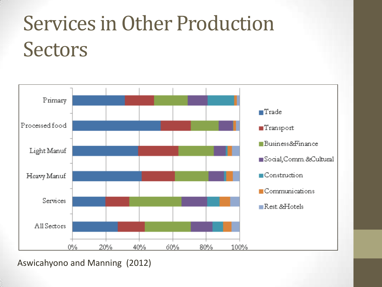#### Services in Other Production **Sectors**



Aswicahyono and Manning (2012)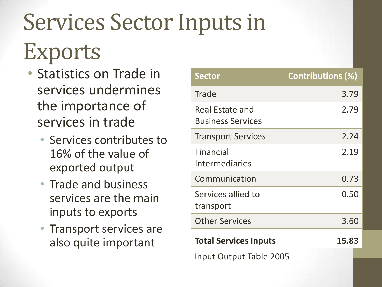# Services Sector Inputs in Exports

- Statistics on Trade in services undermines the importance of services in trade
	- Services contributes to 16% of the value of exported output
	- Trade and business services are the main inputs to exports
	- Transport services are also quite important

| <b>Sector</b>                               | <b>Contributions (%)</b> |  |  |  |
|---------------------------------------------|--------------------------|--|--|--|
| <b>Trade</b>                                | 3.79                     |  |  |  |
| Real Estate and<br><b>Business Services</b> | 2.79                     |  |  |  |
| <b>Transport Services</b>                   | 2.24                     |  |  |  |
| <b>Financial</b><br><b>Intermediaries</b>   | 2.19                     |  |  |  |
| Communication                               | 0.73                     |  |  |  |
| Services allied to<br>transport             | 0.50                     |  |  |  |
| <b>Other Services</b>                       | 3.60                     |  |  |  |
| <b>Total Services Inputs</b>                | 15.83                    |  |  |  |
| <b>Input Output Table 2005</b>              |                          |  |  |  |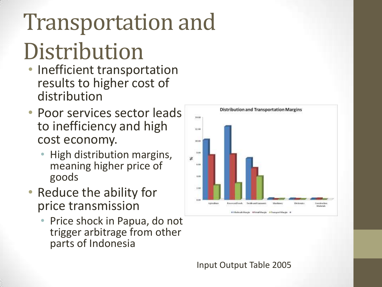## Transportation and Distribution

- Inefficient transportation results to higher cost of distribution
- Poor services sector leads to inefficiency and high cost economy.
	- High distribution margins, meaning higher price of goods
- Reduce the ability for price transmission
	- Price shock in Papua, do not trigger arbitrage from other parts of Indonesia



Input Output Table 2005